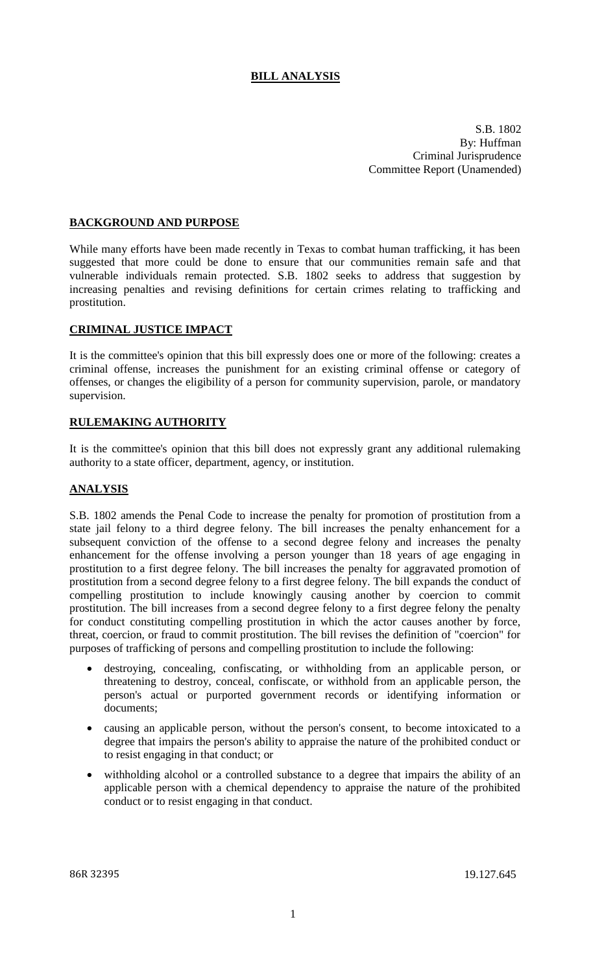# **BILL ANALYSIS**

S.B. 1802 By: Huffman Criminal Jurisprudence Committee Report (Unamended)

### **BACKGROUND AND PURPOSE**

While many efforts have been made recently in Texas to combat human trafficking, it has been suggested that more could be done to ensure that our communities remain safe and that vulnerable individuals remain protected. S.B. 1802 seeks to address that suggestion by increasing penalties and revising definitions for certain crimes relating to trafficking and prostitution.

#### **CRIMINAL JUSTICE IMPACT**

It is the committee's opinion that this bill expressly does one or more of the following: creates a criminal offense, increases the punishment for an existing criminal offense or category of offenses, or changes the eligibility of a person for community supervision, parole, or mandatory supervision.

### **RULEMAKING AUTHORITY**

It is the committee's opinion that this bill does not expressly grant any additional rulemaking authority to a state officer, department, agency, or institution.

#### **ANALYSIS**

S.B. 1802 amends the Penal Code to increase the penalty for promotion of prostitution from a state jail felony to a third degree felony. The bill increases the penalty enhancement for a subsequent conviction of the offense to a second degree felony and increases the penalty enhancement for the offense involving a person younger than 18 years of age engaging in prostitution to a first degree felony. The bill increases the penalty for aggravated promotion of prostitution from a second degree felony to a first degree felony. The bill expands the conduct of compelling prostitution to include knowingly causing another by coercion to commit prostitution. The bill increases from a second degree felony to a first degree felony the penalty for conduct constituting compelling prostitution in which the actor causes another by force, threat, coercion, or fraud to commit prostitution. The bill revises the definition of "coercion" for purposes of trafficking of persons and compelling prostitution to include the following:

- destroying, concealing, confiscating, or withholding from an applicable person, or threatening to destroy, conceal, confiscate, or withhold from an applicable person, the person's actual or purported government records or identifying information or documents;
- causing an applicable person, without the person's consent, to become intoxicated to a degree that impairs the person's ability to appraise the nature of the prohibited conduct or to resist engaging in that conduct; or
- withholding alcohol or a controlled substance to a degree that impairs the ability of an applicable person with a chemical dependency to appraise the nature of the prohibited conduct or to resist engaging in that conduct.